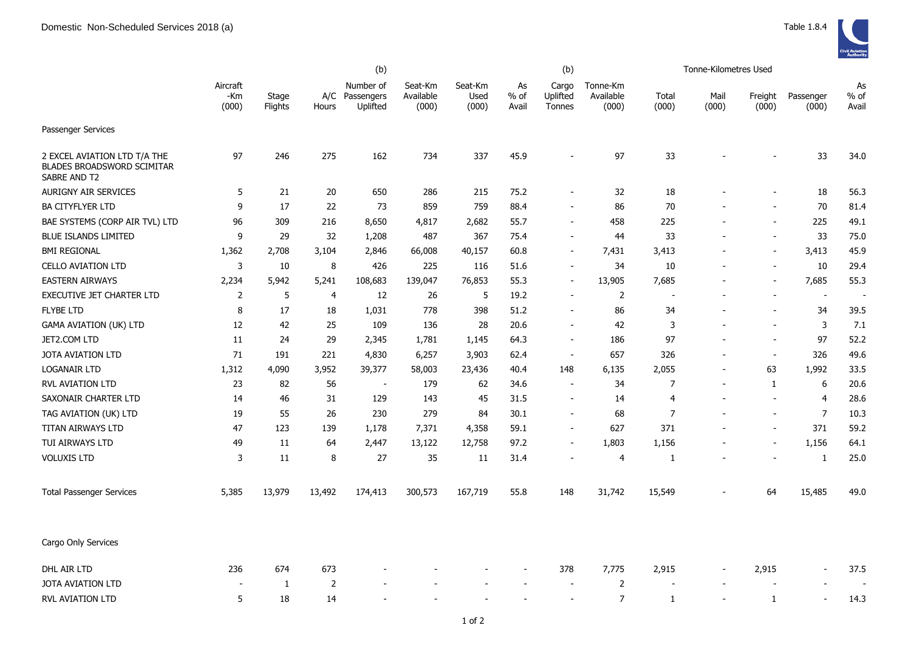|                                                                                   |                          |                         | (b)            |                                         |                               |                          |                       | (b)                         |                                |                          | Tonne-Kilometres Used |                          |                          |                       |
|-----------------------------------------------------------------------------------|--------------------------|-------------------------|----------------|-----------------------------------------|-------------------------------|--------------------------|-----------------------|-----------------------------|--------------------------------|--------------------------|-----------------------|--------------------------|--------------------------|-----------------------|
|                                                                                   | Aircraft<br>-Km<br>(000) | Stage<br><b>Flights</b> | Hours          | Number of<br>A/C Passengers<br>Uplifted | Seat-Km<br>Available<br>(000) | Seat-Km<br>Used<br>(000) | As<br>$%$ of<br>Avail | Cargo<br>Uplifted<br>Tonnes | Tonne-Km<br>Available<br>(000) | Total<br>(000)           | Mail<br>(000)         | Freight<br>(000)         | Passenger<br>(000)       | As<br>$%$ of<br>Avail |
| Passenger Services                                                                |                          |                         |                |                                         |                               |                          |                       |                             |                                |                          |                       |                          |                          |                       |
| 2 EXCEL AVIATION LTD T/A THE<br><b>BLADES BROADSWORD SCIMITAR</b><br>SABRE AND T2 | 97                       | 246                     | 275            | 162                                     | 734                           | 337                      | 45.9                  | ÷,                          | 97                             | 33                       |                       |                          | 33                       | 34.0                  |
| <b>AURIGNY AIR SERVICES</b>                                                       | 5                        | 21                      | 20             | 650                                     | 286                           | 215                      | 75.2                  |                             | 32                             | 18                       |                       |                          | 18                       | 56.3                  |
| <b>BA CITYFLYER LTD</b>                                                           | 9                        | 17                      | 22             | 73                                      | 859                           | 759                      | 88.4                  | ÷,                          | 86                             | 70                       |                       | $\overline{a}$           | 70                       | 81.4                  |
| BAE SYSTEMS (CORP AIR TVL) LTD                                                    | 96                       | 309                     | 216            | 8,650                                   | 4,817                         | 2,682                    | 55.7                  | $\overline{\phantom{a}}$    | 458                            | 225                      |                       | $\overline{a}$           | 225                      | 49.1                  |
| <b>BLUE ISLANDS LIMITED</b>                                                       | 9                        | 29                      | 32             | 1,208                                   | 487                           | 367                      | 75.4                  | $\blacksquare$              | 44                             | 33                       |                       | $\overline{\phantom{a}}$ | 33                       | 75.0                  |
| <b>BMI REGIONAL</b>                                                               | 1,362                    | 2,708                   | 3,104          | 2,846                                   | 66,008                        | 40,157                   | 60.8                  | $\overline{a}$              | 7,431                          | 3,413                    |                       | $\overline{a}$           | 3,413                    | 45.9                  |
| <b>CELLO AVIATION LTD</b>                                                         | 3                        | 10                      | 8              | 426                                     | 225                           | 116                      | 51.6                  | $\overline{\phantom{0}}$    | 34                             | 10                       |                       | $\overline{\phantom{a}}$ | 10                       | 29.4                  |
| <b>EASTERN AIRWAYS</b>                                                            | 2,234                    | 5,942                   | 5,241          | 108,683                                 | 139,047                       | 76,853                   | 55.3                  | ÷,                          | 13,905                         | 7,685                    |                       | $\overline{\phantom{a}}$ | 7,685                    | 55.3                  |
| EXECUTIVE JET CHARTER LTD                                                         | 2                        | 5                       | 4              | 12                                      | 26                            | 5                        | 19.2                  | $\overline{\phantom{0}}$    | $\overline{2}$                 | $\overline{\phantom{a}}$ |                       | $\overline{\phantom{a}}$ | $\overline{\phantom{a}}$ | . —                   |
| <b>FLYBE LTD</b>                                                                  | 8                        | 17                      | 18             | 1,031                                   | 778                           | 398                      | 51.2                  | ÷                           | 86                             | 34                       |                       | $\blacksquare$           | 34                       | 39.5                  |
| GAMA AVIATION (UK) LTD                                                            | 12                       | 42                      | 25             | 109                                     | 136                           | 28                       | 20.6                  | ÷,                          | 42                             | 3                        |                       | $\sim$                   | 3                        | 7.1                   |
| JET2.COM LTD                                                                      | 11                       | 24                      | 29             | 2,345                                   | 1,781                         | 1,145                    | 64.3                  | $\blacksquare$              | 186                            | 97                       |                       | $\overline{\phantom{a}}$ | 97                       | 52.2                  |
| JOTA AVIATION LTD                                                                 | 71                       | 191                     | 221            | 4,830                                   | 6,257                         | 3,903                    | 62.4                  | $\blacksquare$              | 657                            | 326                      |                       | $\blacksquare$           | 326                      | 49.6                  |
| <b>LOGANAIR LTD</b>                                                               | 1,312                    | 4,090                   | 3,952          | 39,377                                  | 58,003                        | 23,436                   | 40.4                  | 148                         | 6,135                          | 2,055                    |                       | 63                       | 1,992                    | 33.5                  |
| <b>RVL AVIATION LTD</b>                                                           | 23                       | 82                      | 56             | $\blacksquare$                          | 179                           | 62                       | 34.6                  | $\overline{\phantom{a}}$    | 34                             | $\overline{7}$           |                       | $\mathbf{1}$             | 6                        | 20.6                  |
| SAXONAIR CHARTER LTD                                                              | 14                       | 46                      | 31             | 129                                     | 143                           | 45                       | 31.5                  | $\overline{a}$              | 14                             | $\overline{4}$           |                       | $\overline{\phantom{a}}$ | $\overline{4}$           | 28.6                  |
| TAG AVIATION (UK) LTD                                                             | 19                       | 55                      | 26             | 230                                     | 279                           | 84                       | 30.1                  | $\sim$                      | 68                             | $\overline{7}$           |                       | $\sim$                   | $\overline{7}$           | 10.3                  |
| TITAN AIRWAYS LTD                                                                 | 47                       | 123                     | 139            | 1,178                                   | 7,371                         | 4,358                    | 59.1                  | $\sim$                      | 627                            | 371                      |                       | $\blacksquare$           | 371                      | 59.2                  |
| TUI AIRWAYS LTD                                                                   | 49                       | 11                      | 64             | 2,447                                   | 13,122                        | 12,758                   | 97.2                  | $\sim$                      | 1,803                          | 1,156                    |                       | $\sim$                   | 1,156                    | 64.1                  |
| <b>VOLUXIS LTD</b>                                                                | 3                        | 11                      | 8              | 27                                      | 35                            | 11                       | 31.4                  | $\blacksquare$              | $\overline{4}$                 | 1                        |                       | $\blacksquare$           | 1                        | 25.0                  |
| <b>Total Passenger Services</b>                                                   | 5,385                    | 13,979                  | 13,492         | 174,413                                 | 300,573                       | 167,719                  | 55.8                  | 148                         | 31,742                         | 15,549                   |                       | 64                       | 15,485                   | 49.0                  |
| Cargo Only Services                                                               |                          |                         |                |                                         |                               |                          |                       |                             |                                |                          |                       |                          |                          |                       |
| DHL AIR LTD                                                                       | 236                      | 674                     | 673            |                                         |                               |                          |                       | 378                         | 7,775                          | 2,915                    |                       | 2,915                    |                          | 37.5                  |
| <b>JOTA AVIATION LTD</b>                                                          |                          | 1                       | $\overline{2}$ |                                         |                               |                          |                       |                             | $\overline{2}$                 |                          |                       |                          |                          |                       |
| RVL AVIATION LTD                                                                  | 5                        | 18                      | 14             |                                         |                               |                          |                       |                             | $\overline{7}$                 | 1                        |                       | 1                        |                          | 14.3                  |